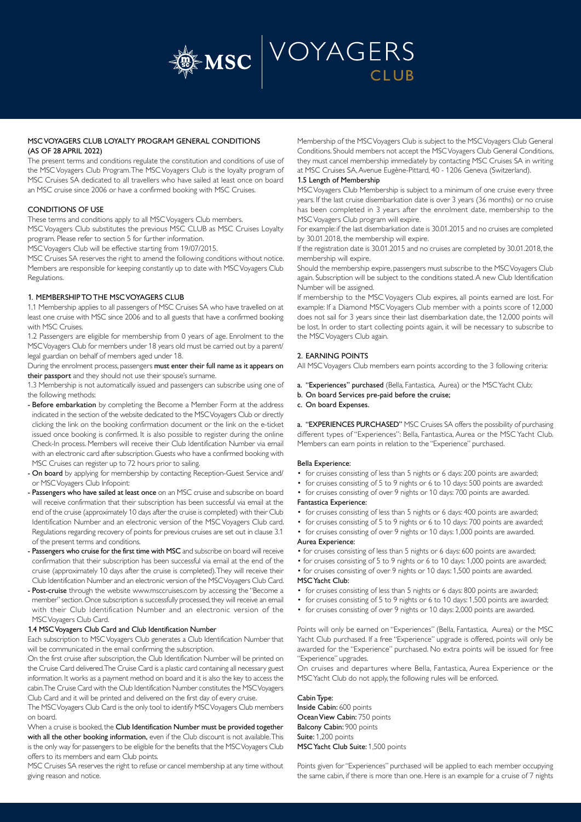

# MSC VOYAGERS CLUB LOYALTY PROGRAM GENERAL CONDITIONS (AS OF 28 APRIL 2022)

The present terms and conditions regulate the constitution and conditions of use of the MSC Voyagers Club Program. The MSC Voyagers Club is the loyalty program of MSC Cruises SA dedicated to all travellers who have sailed at least once on board an MSC cruise since 2006 or have a confirmed booking with MSC Cruises.

## CONDITIONS OF USE

These terms and conditions apply to all MSC Voyagers Club members.

MSC Voyagers Club substitutes the previous MSC CLUB as MSC Cruises Loyalty program. Please refer to section 5 for further information.

MSC Voyagers Club will be effective starting from 19/07/2015.

MSC Cruises SA reserves the right to amend the following conditions without notice. Members are responsible for keeping constantly up to date with MSC Voyagers Club Regulations.

### 1. MEMBERSHIP TO THE MSC VOYAGERS CLUB

1.1 Membership applies to all passengers of MSC Cruises SA who have travelled on at least one cruise with MSC since 2006 and to all guests that have a confirmed booking with MSC Cruises.

1.2 Passengers are eligible for membership from 0 years of age. Enrolment to the MSC Voyagers Club for members under 18 years old must be carried out by a parent/ legal guardian on behalf of members aged under 18.

During the enrolment process, passengers must enter their full name as it appears on their passport and they should not use their spouse's surname.

1.3 Membership is not automatically issued and passengers can subscribe using one of the following methods:

- Before embarkation by completing the Become a Member Form at the address indicated in the section of the website dedicated to the MSC Voyagers Club or directly clicking the link on the booking confirmation document or the link on the e-ticket issued once booking is confirmed. It is also possible to register during the online Check-In process. Members will receive their Club Identification Number via email with an electronic card after subscription. Guests who have a confirmed booking with MSC Cruises can register up to 72 hours prior to sailing.
- On board by applying for membership by contacting Reception-Guest Service and/ or MSC Voyagers Club Infopoint:
- Passengers who have sailed at least once on an MSC cruise and subscribe on board will receive confirmation that their subscription has been successful via email at the end of the cruise (approximately 10 days after the cruise is completed) with their Club Identification Number and an electronic version of the MSC Voyagers Club card. Regulations regarding recovery of points for previous cruises are set out in clause 3.1 of the present terms and conditions.
- Passengers who cruise for the first time with MSC and subscribe on board will receive confirmation that their subscription has been successful via email at the end of the cruise (approximately 10 days after the cruise is completed). They will receive their Club Identification Number and an electronic version of the MSC Voyagers Club Card.
- Post-cruise through the website www.msccruises.com by accessing the "Become a member" section. Once subscription is successfully processed, they will receive an email with their Club Identification Number and an electronic version of the MSC Voyagers Club Card.

#### 1.4 MSC Voyagers Club Card and Club Identification Number

Each subscription to MSC Voyagers Club generates a Club Identification Number that will be communicated in the email confirming the subscription.

On the first cruise after subscription, the Club Identification Number will be printed on the Cruise Card delivered. The Cruise Card is a plastic card containing all necessary guest information. It works as a payment method on board and it is also the key to access the cabin. The Cruise Card with the Club Identification Number constitutes the MSC Voyagers Club Card and it will be printed and delivered on the first day of every cruise.

The MSC Voyagers Club Card is the only tool to identify MSC Voyagers Club members on board.

When a cruise is booked, the Club Identification Number must be provided together with all the other booking information, even if the Club discount is not available. This is the only way for passengers to be eligible for the benefits that the MSC Voyagers Club offers to its members and earn Club points.

MSC Cruises SA reserves the right to refuse or cancel membership at any time without giving reason and notice.

Membership of the MSC Voyagers Club is subject to the MSC Voyagers Club General Conditions. Should members not accept the MSC Voyagers Club General Conditions, they must cancel membership immediately by contacting MSC Cruises SA in writing at MSC Cruises SA, Avenue Eugène-Pittard, 40 - 1206 Geneva (Switzerland).

#### 1.5 Length of Membership

MSC Voyagers Club Membership is subject to a minimum of one cruise every three years. If the last cruise disembarkation date is over 3 years (36 months) or no cruise has been completed in 3 years after the enrolment date, membership to the MSC Voyagers Club program will expire.

For example: if the last disembarkation date is 30.01.2015 and no cruises are completed by 30.01.2018, the membership will expire.

If the registration date is 30.01.2015 and no cruises are completed by 30.01.2018, the membership will expire.

Should the membership expire, passengers must subscribe to the MSC Voyagers Club again. Subscription will be subject to the conditions stated. A new Club Identification Number will be assigned.

If membership to the MSC Voyagers Club expires, all points earned are lost. For example: If a Diamond MSC Voyagers Club member with a points score of 12,000 does not sail for 3 years since their last disembarkation date, the 12,000 points will be lost. In order to start collecting points again, it will be necessary to subscribe to the MSC Voyagers Club again.

# 2. EARNING POINTS

All MSC Voyagers Club members earn points according to the 3 following criteria:

- a. "Experiences" purchased (Bella, Fantastica, Aurea) or the MSC Yacht Club;
- b. On board Services pre-paid before the cruise;

## c. On board Expenses.

a. "EXPERIENCES PURCHASED" MSC Cruises SA offers the possibility of purchasing different types of "Experiences": Bella, Fantastica, Aurea or the MSC Yacht Club. Members can earn points in relation to the "Experience" purchased.

#### Bella Experience:

- for cruises consisting of less than 5 nights or 6 days: 200 points are awarded;
- for cruises consisting of 5 to 9 nights or 6 to 10 days: 500 points are awarded:
- for cruises consisting of over 9 nights or 10 days: 700 points are awarded.

## Fantastica Experience:

- for cruises consisting of less than 5 nights or 6 days: 400 points are awarded;
	- for cruises consisting of 5 to 9 nights or 6 to 10 days: 700 points are awarded;
	- for cruises consisting of over 9 nights or 10 days: 1,000 points are awarded. Aurea Experience:
	- for cruises consisting of less than 5 nights or 6 days: 600 points are awarded;
	- for cruises consisting of 5 to 9 nights or 6 to 10 days: 1,000 points are awarded;
	- for cruises consisting of over 9 nights or 10 days: 1,500 points are awarded. MSC Yacht Club:
	- for cruises consisting of less than 5 nights or 6 days: 800 points are awarded;
	- for cruises consisting of 5 to 9 nights or 6 to 10 days: 1,500 points are awarded;
	- for cruises consisting of over 9 nights or 10 days: 2,000 points are awarded.

Points will only be earned on "Experiences" (Bella, Fantastica, Aurea) or the MSC Yacht Club purchased. If a free "Experience" upgrade is offered, points will only be awarded for the "Experience" purchased. No extra points will be issued for free "Experience" upgrades.

On cruises and departures where Bella, Fantastica, Aurea Experience or the MSC Yacht Club do not apply, the following rules will be enforced.

Cabin Type: Inside Cabin: 600 points Ocean View Cabin: 750 points Balcony Cabin: 900 points Suite: 1,200 points

MSC Yacht Club Suite: 1,500 points

Points given for "Experiences" purchased will be applied to each member occupying the same cabin, if there is more than one. Here is an example for a cruise of 7 nights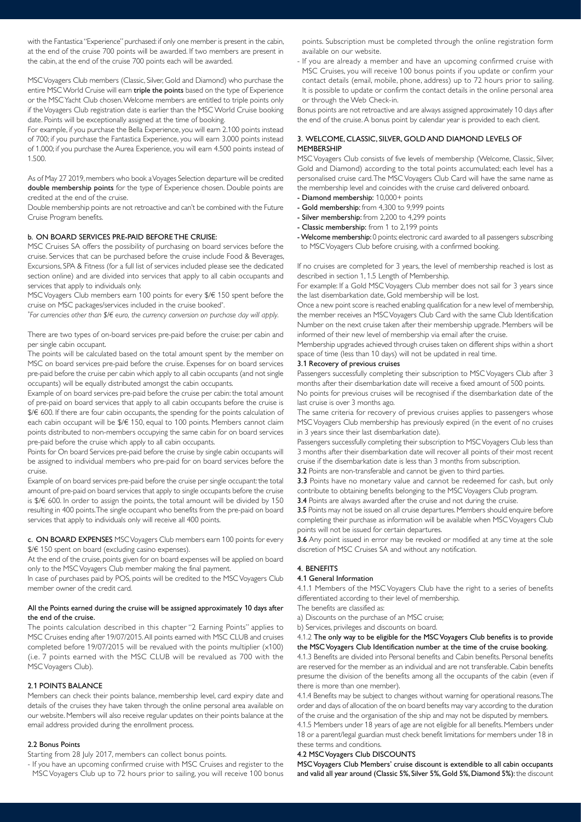with the Fantastica "Experience" purchased: if only one member is present in the cabin, at the end of the cruise 700 points will be awarded. If two members are present in the cabin, at the end of the cruise 700 points each will be awarded.

MSC Voyagers Club members (Classic, Silver, Gold and Diamond) who purchase the entire MSC World Cruise will earn triple the points based on the type of Experience or the MSC Yacht Club chosen. Welcome members are entitled to triple points only if the Voyagers Club registration date is earlier than the MSC World Cruise booking date. Points will be exceptionally assigned at the time of booking.

For example, if you purchase the Bella Experience, you will earn 2.100 points instead of 700; if you purchase the Fantastica Experience, you will earn 3.000 points instead of 1.000; if you purchase the Aurea Experience, you will earn 4.500 points instead of 1.500.

As of May 27 2019, members who book a Voyages Selection departure will be credited double membership points for the type of Experience chosen. Double points are credited at the end of the cruise.

Double membership points are not retroactive and can't be combined with the Future Cruise Program benefits.

### b. ON BOARD SERVICES PRE-PAID BEFORE THE CRUISE:

MSC Cruises SA offers the possibility of purchasing on board services before the cruise. Services that can be purchased before the cruise include Food & Beverages, Excursions, SPA & Fitness (for a full list of services included please see the dedicated section online) and are divided into services that apply to all cabin occupants and services that apply to individuals only.

MSC Voyagers Club members earn 100 points for every \$/€ 150 spent before the cruise on MSC packages/services included in the cruise booked\* .

*\* For currencies other than \$/€ euro, the currency conversion on purchase day will apply.*

There are two types of on-board services pre-paid before the cruise: per cabin and per single cabin occupant.

The points will be calculated based on the total amount spent by the member on MSC on board services pre-paid before the cruise. Expenses for on board services pre-paid before the cruise per cabin which apply to all cabin occupants (and not single occupants) will be equally distributed amongst the cabin occupants.

Example of on board services pre-paid before the cruise per cabin: the total amount of pre-paid on board services that apply to all cabin occupants before the cruise is \$/€ 600. If there are four cabin occupants, the spending for the points calculation of each cabin occupant will be \$/€ 150, equal to 100 points. Members cannot claim points distributed to non-members occupying the same cabin for on board services pre-paid before the cruise which apply to all cabin occupants.

Points for On board Services pre-paid before the cruise by single cabin occupants will be assigned to individual members who pre-paid for on board services before the cruise.

Example of on board services pre-paid before the cruise per single occupant: the total amount of pre-paid on board services that apply to single occupants before the cruise is \$/€ 600. In order to assign the points, the total amount will be divided by 150 resulting in 400 points. The single occupant who benefits from the pre-paid on board services that apply to individuals only will receive all 400 points.

c. ON BOARD EXPENSES MSC Voyagers Club members earn 100 points for every \$/€ 150 spent on board (excluding casino expenses).

At the end of the cruise, points given for on board expenses will be applied on board only to the MSC Voyagers Club member making the final payment.

In case of purchases paid by POS, points will be credited to the MSC Voyagers Club member owner of the credit card.

## All the Points earned during the cruise will be assigned approximately 10 days after the end of the cruise.

The points calculation described in this chapter "2 Earning Points" applies to MSC Cruises ending after 19/07/2015. All points earned with MSC CLUB and cruises completed before 19/07/2015 will be revalued with the points multiplier (x100) (i.e. 7 points earned with the MSC CLUB will be revalued as 700 with the MSC Voyagers Club).

#### 2.1 POINTS BALANCE

Members can check their points balance, membership level, card expiry date and details of the cruises they have taken through the online personal area available on our website. Members will also receive regular updates on their points balance at the email address provided during the enrollment process.

### 2.2 Bonus Points

Starting from 28 July 2017, members can collect bonus points.

- If you have an upcoming confirmed cruise with MSC Cruises and register to the MSC Voyagers Club up to 72 hours prior to sailing, you will receive 100 bonus points. Subscription must be completed through the online registration form available on our website.

- If you are already a member and have an upcoming confirmed cruise with MSC Cruises, you will receive 100 bonus points if you update or confirm your contact details (email, mobile, phone, address) up to 72 hours prior to sailing. It is possible to update or confirm the contact details in the online personal area or through the Web Check-in.

Bonus points are not retroactive and are always assigned approximately 10 days after the end of the cruise. A bonus point by calendar year is provided to each client.

# 3. WELCOME, CLASSIC, SILVER, GOLD AND DIAMOND LEVELS OF **MEMBERSHIP**

MSC Voyagers Club consists of five levels of membership (Welcome, Classic, Silver, Gold and Diamond) according to the total points accumulated; each level has a personalised cruise card. The MSC Voyagers Club Card will have the same name as the membership level and coincides with the cruise card delivered onboard.

- Diamond membership: 10,000+ points
- Gold membership: from 4,300 to 9,999 points
- Silver membership: from 2,200 to 4,299 points
- Classic membership: from 1 to 2,199 points
- Welcome membership: 0 points; electronic card awarded to all passengers subscribing to MSC Voyagers Club before cruising, with a confirmed booking.

If no cruises are completed for 3 years, the level of membership reached is lost as described in section 1, 1.5 Length of Membership.

For example: If a Gold MSC Voyagers Club member does not sail for 3 years since the last disembarkation date, Gold membership will be lost.

Once a new point score is reached enabling qualification for a new level of membership, the member receives an MSC Voyagers Club Card with the same Club Identification Number on the next cruise taken after their membership upgrade. Members will be informed of their new level of membership via email after the cruise.

Membership upgrades achieved through cruises taken on different ships within a short space of time (less than 10 days) will not be updated in real time.

# 3.1 Recovery of previous cruises

Passengers successfully completing their subscription to MSC Voyagers Club after 3 months after their disembarkation date will receive a fixed amount of 500 points.

No points for previous cruises will be recognised if the disembarkation date of the last cruise is over 3 months ago.

The same criteria for recovery of previous cruises applies to passengers whose MSC Voyagers Club membership has previously expired (in the event of no cruises in 3 years since their last disembarkation date).

Passengers successfully completing their subscription to MSC Voyagers Club less than 3 months after their disembarkation date will recover all points of their most recent cruise if the disembarkation date is less than 3 months from subscription.

3.2 Points are non-transferable and cannot be given to third parties.

3.3 Points have no monetary value and cannot be redeemed for cash, but only contribute to obtaining benefits belonging to the MSC Voyagers Club program.

3.4 Points are always awarded after the cruise and not during the cruise.

3.5 Points may not be issued on all cruise departures. Members should enquire before completing their purchase as information will be available when MSC Voyagers Club points will not be issued for certain departures.

3.6 Any point issued in error may be revoked or modified at any time at the sole discretion of MSC Cruises SA and without any notification.

# 4. BENEFITS

### 4.1 General Information

4.1.1 Members of the MSC Voyagers Club have the right to a series of benefits differentiated according to their level of membership.

The benefits are classified as:

a) Discounts on the purchase of an MSC cruise;

b) Services, privileges and discounts on board.

4.1.2 The only way to be eligible for the MSC Voyagers Club benefits is to provide the MSC Voyagers Club Identification number at the time of the cruise booking.

4.1.3 Benefits are divided into Personal benefits and Cabin benefits. Personal benefits are reserved for the member as an individual and are not transferable. Cabin benefits presume the division of the benefits among all the occupants of the cabin (even if there is more than one member).

4.1.4 Benefits may be subject to changes without warning for operational reasons. The order and days of allocation of the on board benefits may vary according to the duration of the cruise and the organisation of the ship and may not be disputed by members.

4.1.5 Members under 18 years of age are not eligible for all benefits. Members under 18 or a parent/legal guardian must check benefit limitations for members under 18 in these terms and conditions.

# 4.2 MSC Voyagers Club DISCOUNTS

MSC Voyagers Club Members' cruise discount is extendible to all cabin occupants and valid all year around (Classic 5%, Silver 5%, Gold 5%, Diamond 5%): the discount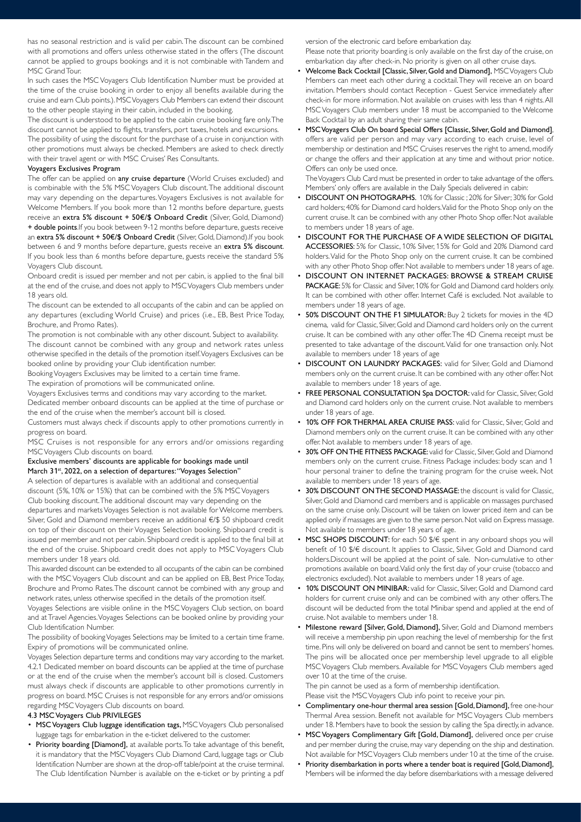has no seasonal restriction and is valid per cabin. The discount can be combined with all promotions and offers unless otherwise stated in the offers (The discount cannot be applied to groups bookings and it is not combinable with Tandem and MSC Grand Tour.

In such cases the MSC Voyagers Club Identification Number must be provided at the time of the cruise booking in order to enjoy all benefits available during the cruise and earn Club points.). MSC Voyagers Club Members can extend their discount to the other people staying in their cabin, included in the booking.

The discount is understood to be applied to the cabin cruise booking fare only. The discount cannot be applied to flights, transfers, port taxes, hotels and excursions.

The possibility of using the discount for the purchase of a cruise in conjunction with other promotions must always be checked. Members are asked to check directly with their travel agent or with MSC Cruises' Res Consultants.

#### Voyagers Exclusives Program

The offer can be applied on any cruise departure (World Cruises excluded) and is combinable with the 5% MSC Voyagers Club discount. The additional discount may vary depending on the departures. Voyagers Exclusives is not available for Welcome Members. If you book more than 12 months before departure, guests receive an extra 5% discount + 50€/\$ Onboard Credit (Silver, Gold, Diamond) + double points.If you book between 9-12 months before departure, guests receive an extra 5% discount + 50€/\$ Onboard Credit (Silver, Gold, Diamond).If you book between 6 and 9 months before departure, guests receive an extra 5% discount. If you book less than 6 months before departure, guests receive the standard 5% Voyagers Club discount.

Onboard credit is issued per member and not per cabin, is applied to the final bill at the end of the cruise, and does not apply to MSC Voyagers Club members under 18 years old.

The discount can be extended to all occupants of the cabin and can be applied on any departures (excluding World Cruise) and prices (i.e., EB, Best Price Today, Brochure, and Promo Rates).

The promotion is not combinable with any other discount. Subject to availability. The discount cannot be combined with any group and network rates unless otherwise specified in the details of the promotion itself. Voyagers Exclusives can be booked online by providing your Club identification number.

Booking Voyagers Exclusives may be limited to a certain time frame.

The expiration of promotions will be communicated online.

Voyagers Exclusives terms and conditions may vary according to the market. Dedicated member onboard discounts can be applied at the time of purchase or

the end of the cruise when the member's account bill is closed. Customers must always check if discounts apply to other promotions currently in

progress on board. MSC Cruises is not responsible for any errors and/or omissions regarding

MSC Voyagers Club discounts on board.

## Exclusive members' discounts are applicable for bookings made until March 31<sup>st</sup>, 2022, on a selection of departures: "Voyages Selection"

A selection of departures is available with an additional and consequential discount (5%, 10% or 15%) that can be combined with the 5% MSC Voyagers Club booking discount. The additional discount may vary depending on the departures and markets Voyages Selection is not available for Welcome members. Silver, Gold and Diamond members receive an additional €/\$ 50 shipboard credit on top of their discount on their Voyages Selection booking. Shipboard credit is issued per member and not per cabin. Shipboard credit is applied to the final bill at the end of the cruise. Shipboard credit does not apply to MSC Voyagers Club members under 18 years old.

This awarded discount can be extended to all occupants of the cabin can be combined with the MSC Voyagers Club discount and can be applied on EB, Best Price Today, Brochure and Promo Rates. The discount cannot be combined with any group and network rates, unless otherwise specified in the details of the promotion itself.

Voyages Selections are visible online in the MSC Voyagers Club section, on board and at Travel Agencies. Voyages Selections can be booked online by providing your Club Identification Number.

The possibility of booking Voyages Selections may be limited to a certain time frame. Expiry of promotions will be communicated online.

Voyages Selection departure terms and conditions may vary according to the market. 4.2.1 Dedicated member on board discounts can be applied at the time of purchase or at the end of the cruise when the member's account bill is closed. Customers must always check if discounts are applicable to other promotions currently in progress on board. MSC Cruises is not responsible for any errors and/or omissions regarding MSC Voyagers Club discounts on board.

## 4.3 MSC Voyagers Club PRIVILEGES

- MSC Voyagers Club luggage identification tags, MSC Voyagers Club personalised luggage tags for embarkation in the e-ticket delivered to the customer.
- Priority boarding [Diamond], at available ports. To take advantage of this benefit, it is mandatory that the MSC Voyagers Club Diamond Card, luggage tags or Club Identification Number are shown at the drop-off table/point at the cruise terminal. The Club Identification Number is available on the e-ticket or by printing a pdf

version of the electronic card before embarkation day.

Please note that priority boarding is only available on the first day of the cruise, on embarkation day after check-in. No priority is given on all other cruise days.

- Welcome Back Cocktail [Classic, Silver, Gold and Diamond], MSC Voyagers Club Members can meet each other during a cocktail. They will receive an on board invitation. Members should contact Reception - Guest Service immediately after check-in for more information. Not available on cruises with less than 4 nights. All MSC Voyagers Club members under 18 must be accompanied to the Welcome Back Cocktail by an adult sharing their same cabin.
- MSC Voyagers Club On board Special Offers [Classic, Silver, Gold and Diamond], offers are valid per person and may vary according to each cruise, level of membership or destination and MSC Cruises reserves the right to amend, modify or change the offers and their application at any time and without prior notice. Offers can only be used once.

The Voyagers Club Card must be presented in order to take advantage of the offers. Members' only offers are available in the Daily Specials delivered in cabin:

- DISCOUNT ON PHOTOGRAPHS. 10% for Classic ; 20% for Silver; 30% for Gold card holders; 40% for Diamond card holders. Valid for the Photo Shop only on the current cruise. It can be combined with any other Photo Shop offer. Not available to members under 18 years of age.
- DISCOUNT FOR THE PURCHASE OF A WIDE SELECTION OF DIGITAL ACCESSORIES: 5% for Classic, 10% Silver, 15% for Gold and 20% Diamond card holders. Valid for the Photo Shop only on the current cruise. It can be combined with any other Photo Shop offer. Not available to members under 18 years of age.
- DISCOUNT ON INTERNET PACKAGES: BROWSE & STREAM CRUISE PACKAGE: 5% for Classic and Silver, 10% for Gold and Diamond card holders only. It can be combined with other offer. Internet Café is excluded. Not available to members under 18 years of age.
- 50% DISCOUNT ON THE F1 SIMULATOR: Buy 2 tickets for movies in the 4D cinema, valid for Classic, Silver, Gold and Diamond card holders only on the current cruise. It can be combined with any other offer. The 4D Cinema receipt must be presented to take advantage of the discount. Valid for one transaction only. Not available to members under 18 years of age
- DISCOUNT ON LAUNDRY PACKAGES: valid for Silver, Gold and Diamond members only on the current cruise. It can be combined with any other offer. Not available to members under 18 years of age.
- FREE PERSONAL CONSULTATION Spa DOCTOR: valid for Classic, Silver, Gold and Diamond card holders only on the current cruise. Not available to members under 18 years of age.
- 10% OFF FOR THERMAL AREA CRUISE PASS: valid for Classic, Silver, Gold and Diamond members only on the current cruise. It can be combined with any other offer. Not available to members under 18 years of age.
- 30% OFF ON THE FITNESS PACKAGE: valid for Classic, Silver, Gold and Diamond members only on the current cruise. Fitness Package includes: body scan and 1 hour personal trainer to define the training program for the cruise week. Not available to members under 18 years of age.
- 30% DISCOUNT ON THE SECOND MASSAGE: the discount is valid for Classic, Silver, Gold and Diamond card members and is applicable on massages purchased on the same cruise only. Discount will be taken on lower priced item and can be applied only if massages are given to the same person. Not valid on Express massage. Not available to members under 18 years of age.
- MSC SHOPS DISCOUNT: for each 50 \$/€ spent in any onboard shops you will benefit of 10 \$/€ discount. It applies to Classic, Silver, Gold and Diamond card holders.Discount will be applied at the point of sale. Non-cumulative to other promotions available on board. Valid only the first day of your cruise (tobacco and electronics excluded). Not available to members under 18 years of age.
- 10% DISCOUNT ON MINIBAR: valid for Classic, Silver, Gold and Diamond card holders for current cruise only and can be combined with any other offers. The discount will be deducted from the total Minibar spend and applied at the end of cruise. Not available to members under 18.
- Milestone reward [Silver, Gold, Diamond], Silver, Gold and Diamond members will receive a membership pin upon reaching the level of membership for the first time. Pins will only be delivered on board and cannot be sent to members' homes. The pins will be allocated once per membership level upgrade to all eligible MSC Voyagers Club members. Available for MSC Voyagers Club members aged over 10 at the time of the cruise.

The pin cannot be used as a form of membership identification. Please visit the MSC Voyagers Club info point to receive your pin.

- Complimentary one-hour thermal area session [Gold, Diamond], free one-hour Thermal Area session. Benefit not available for MSC Voyagers Club members under 18. Members have to book the session by calling the Spa directly, in advance.
- MSC Voyagers Complimentary Gift [Gold, Diamond], delivered once per cruise and per member during the cruise, may vary depending on the ship and destination. Not available for MSC Voyagers Club members under 10 at the time of the cruise.
- Priority disembarkation in ports where a tender boat is required [Gold, Diamond], Members will be informed the day before disembarkations with a message delivered